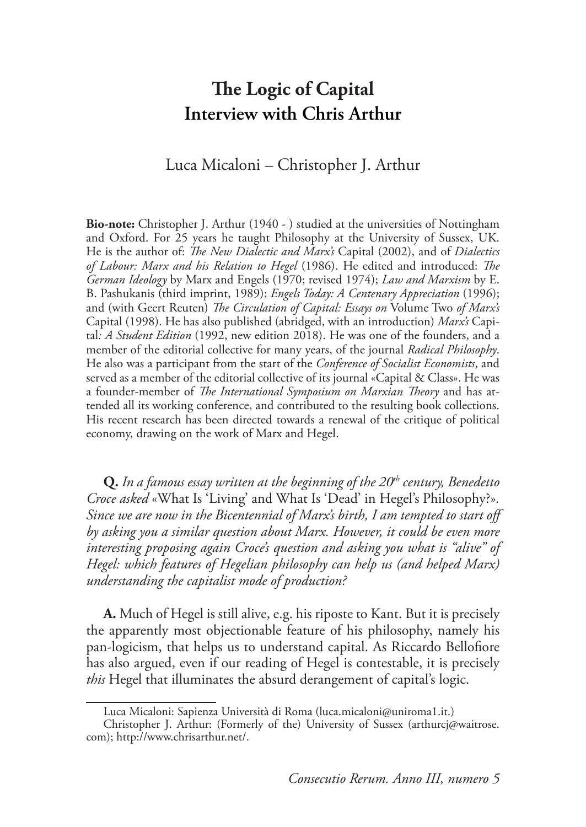# **The Logic of Capital Interview with Chris Arthur**

## Luca Micaloni – Christopher J. Arthur

**Bio-note:** Christopher J. Arthur (1940 - ) studied at the universities of Nottingham and Oxford. For 25 years he taught Philosophy at the University of Sussex, UK. He is the author of: *The New Dialectic and Marx's* Capital (2002), and of *Dialectics of Labour: Marx and his Relation to Hegel* (1986). He edited and introduced: *The German Ideology* by Marx and Engels (1970; revised 1974); *Law and Marxism* by E. B. Pashukanis (third imprint, 1989); *Engels Today: A Centenary Appreciation* (1996); and (with Geert Reuten) *The Circulation of Capital: Essays on* Volume Two *of Marx's*  Capital (1998). He has also published (abridged, with an introduction) *Marx's* Capital*: A Student Edition* (1992, new edition 2018). He was one of the founders, and a member of the editorial collective for many years, of the journal *Radical Philosophy*. He also was a participant from the start of the *Conference of Socialist Economists*, and served as a member of the editorial collective of its journal «Capital & Class». He was a founder-member of *The International Symposium on Marxian Theory* and has attended all its working conference, and contributed to the resulting book collections. His recent research has been directed towards a renewal of the critique of political economy, drawing on the work of Marx and Hegel.

**Q.** In a famous essay written at the beginning of the 20<sup>th</sup> century, Benedetto *Croce asked* «What Is 'Living' and What Is 'Dead' in Hegel's Philosophy?»*. Since we are now in the Bicentennial of Marx's birth, I am tempted to start off by asking you a similar question about Marx. However, it could be even more interesting proposing again Croce's question and asking you what is "alive" of Hegel: which features of Hegelian philosophy can help us (and helped Marx) understanding the capitalist mode of production?*

**A.** Much of Hegel is still alive, e.g. his riposte to Kant. But it is precisely the apparently most objectionable feature of his philosophy, namely his pan-logicism, that helps us to understand capital. As Riccardo Bellofiore has also argued, even if our reading of Hegel is contestable, it is precisely *this* Hegel that illuminates the absurd derangement of capital's logic.

Luca Micaloni: Sapienza Università di Roma (luca.micaloni@uniroma1.it.)

Christopher J. Arthur: (Formerly of the) University of Sussex (arthurcj@waitrose. com); http://www.chrisarthur.net/.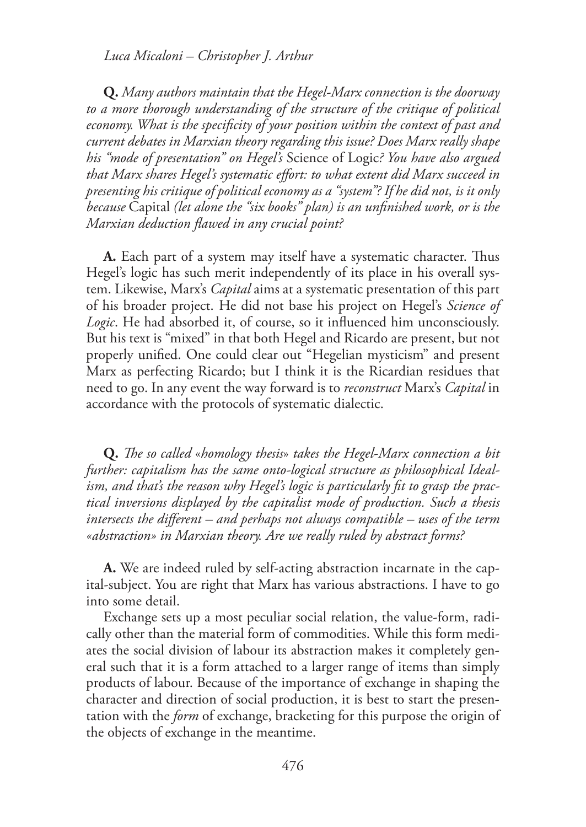**Q.** *Many authors maintain that the Hegel-Marx connection is the doorway to a more thorough understanding of the structure of the critique of political economy. What is the specificity of your position within the context of past and current debates in Marxian theory regarding this issue? Does Marx really shape his "mode of presentation" on Hegel's* Science of Logic*? You have also argued that Marx shares Hegel's systematic effort: to what extent did Marx succeed in presenting his critique of political economy as a "system"? If he did not, is it only because* Capital *(let alone the "six books" plan) is an unfinished work, or is the Marxian deduction flawed in any crucial point?* 

**A.** Each part of a system may itself have a systematic character. Thus Hegel's logic has such merit independently of its place in his overall system. Likewise, Marx's *Capital* aims at a systematic presentation of this part of his broader project. He did not base his project on Hegel's *Science of Logic*. He had absorbed it, of course, so it influenced him unconsciously. But his text is "mixed" in that both Hegel and Ricardo are present, but not properly unified. One could clear out "Hegelian mysticism" and present Marx as perfecting Ricardo; but I think it is the Ricardian residues that need to go. In any event the way forward is to *reconstruct* Marx's *Capital* in accordance with the protocols of systematic dialectic.

**Q.** *The so called* «*homology thesis*» *takes the Hegel-Marx connection a bit further: capitalism has the same onto-logical structure as philosophical Idealism, and that's the reason why Hegel's logic is particularly fit to grasp the practical inversions displayed by the capitalist mode of production. Such a thesis intersects the different – and perhaps not always compatible – uses of the term «abstraction» in Marxian theory. Are we really ruled by abstract forms?*

**A.** We are indeed ruled by self-acting abstraction incarnate in the capital-subject. You are right that Marx has various abstractions. I have to go into some detail.

Exchange sets up a most peculiar social relation, the value-form, radically other than the material form of commodities. While this form mediates the social division of labour its abstraction makes it completely general such that it is a form attached to a larger range of items than simply products of labour. Because of the importance of exchange in shaping the character and direction of social production, it is best to start the presentation with the *form* of exchange, bracketing for this purpose the origin of the objects of exchange in the meantime.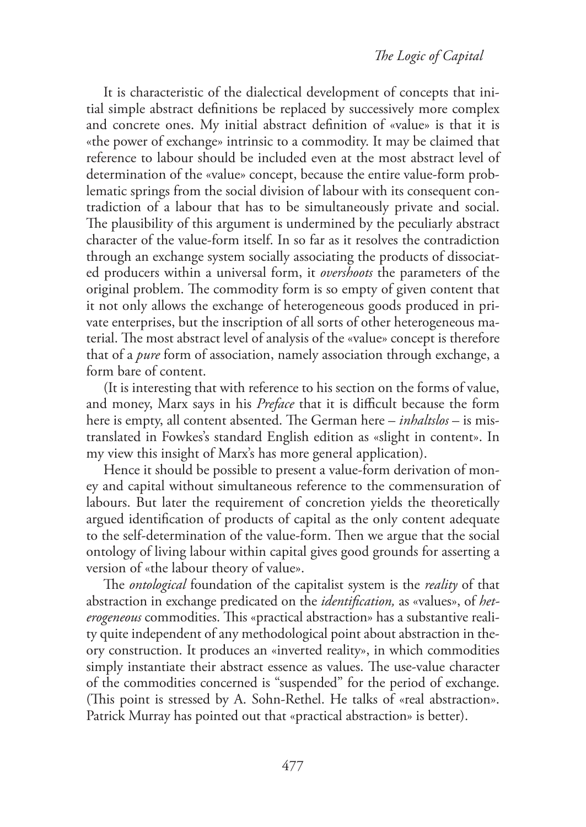It is characteristic of the dialectical development of concepts that initial simple abstract definitions be replaced by successively more complex and concrete ones. My initial abstract definition of «value» is that it is «the power of exchange» intrinsic to a commodity. It may be claimed that reference to labour should be included even at the most abstract level of determination of the «value» concept, because the entire value-form problematic springs from the social division of labour with its consequent contradiction of a labour that has to be simultaneously private and social. The plausibility of this argument is undermined by the peculiarly abstract character of the value-form itself. In so far as it resolves the contradiction through an exchange system socially associating the products of dissociated producers within a universal form, it *overshoots* the parameters of the original problem. The commodity form is so empty of given content that it not only allows the exchange of heterogeneous goods produced in private enterprises, but the inscription of all sorts of other heterogeneous material. The most abstract level of analysis of the «value» concept is therefore that of a *pure* form of association, namely association through exchange, a form bare of content.

(It is interesting that with reference to his section on the forms of value, and money, Marx says in his *Preface* that it is difficult because the form here is empty, all content absented. The German here – *inhaltslos* – is mistranslated in Fowkes's standard English edition as «slight in content». In my view this insight of Marx's has more general application).

Hence it should be possible to present a value-form derivation of money and capital without simultaneous reference to the commensuration of labours. But later the requirement of concretion yields the theoretically argued identification of products of capital as the only content adequate to the self-determination of the value-form. Then we argue that the social ontology of living labour within capital gives good grounds for asserting a version of «the labour theory of value».

The *ontological* foundation of the capitalist system is the *reality* of that abstraction in exchange predicated on the *identification,* as «values», of *heterogeneous* commodities. This «practical abstraction» has a substantive reality quite independent of any methodological point about abstraction in theory construction. It produces an «inverted reality», in which commodities simply instantiate their abstract essence as values. The use-value character of the commodities concerned is "suspended" for the period of exchange. (This point is stressed by A. Sohn-Rethel. He talks of «real abstraction». Patrick Murray has pointed out that «practical abstraction» is better).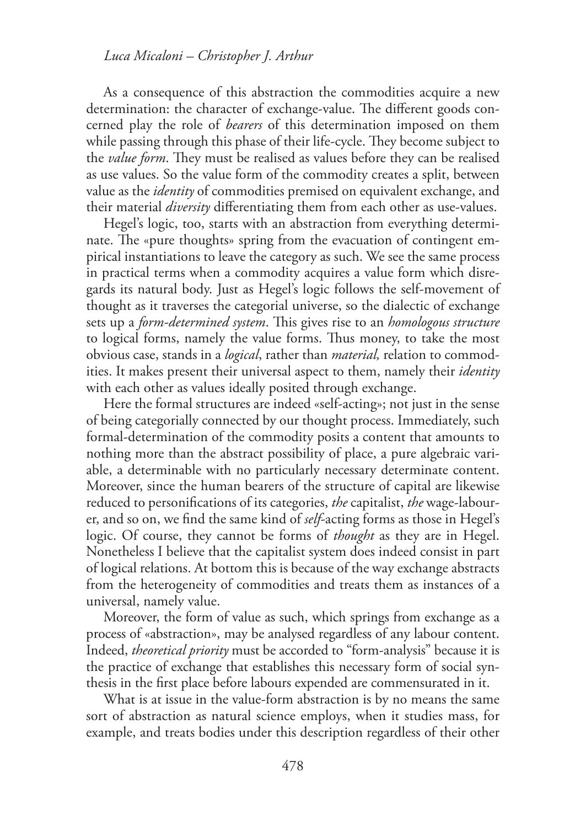#### *Luca Micaloni – Christopher J. Arthur*

As a consequence of this abstraction the commodities acquire a new determination: the character of exchange-value. The different goods concerned play the role of *bearers* of this determination imposed on them while passing through this phase of their life-cycle. They become subject to the *value form*. They must be realised as values before they can be realised as use values. So the value form of the commodity creates a split, between value as the *identity* of commodities premised on equivalent exchange, and their material *diversity* differentiating them from each other as use-values.

Hegel's logic, too, starts with an abstraction from everything determinate. The «pure thoughts» spring from the evacuation of contingent empirical instantiations to leave the category as such. We see the same process in practical terms when a commodity acquires a value form which disregards its natural body. Just as Hegel's logic follows the self-movement of thought as it traverses the categorial universe, so the dialectic of exchange sets up a *form-determined system*. This gives rise to an *homologous structure*  to logical forms, namely the value forms. Thus money, to take the most obvious case, stands in a *logical*, rather than *material,* relation to commodities. It makes present their universal aspect to them, namely their *identity*  with each other as values ideally posited through exchange.

Here the formal structures are indeed «self-acting»; not just in the sense of being categorially connected by our thought process. Immediately, such formal-determination of the commodity posits a content that amounts to nothing more than the abstract possibility of place, a pure algebraic variable, a determinable with no particularly necessary determinate content. Moreover, since the human bearers of the structure of capital are likewise reduced to personifications of its categories, *the* capitalist, *the* wage-labourer, and so on, we find the same kind of *self*-acting forms as those in Hegel's logic. Of course, they cannot be forms of *thought* as they are in Hegel. Nonetheless I believe that the capitalist system does indeed consist in part of logical relations. At bottom this is because of the way exchange abstracts from the heterogeneity of commodities and treats them as instances of a universal, namely value.

Moreover, the form of value as such, which springs from exchange as a process of «abstraction», may be analysed regardless of any labour content. Indeed, *theoretical priority* must be accorded to "form-analysis" because it is the practice of exchange that establishes this necessary form of social synthesis in the first place before labours expended are commensurated in it.

What is at issue in the value-form abstraction is by no means the same sort of abstraction as natural science employs, when it studies mass, for example, and treats bodies under this description regardless of their other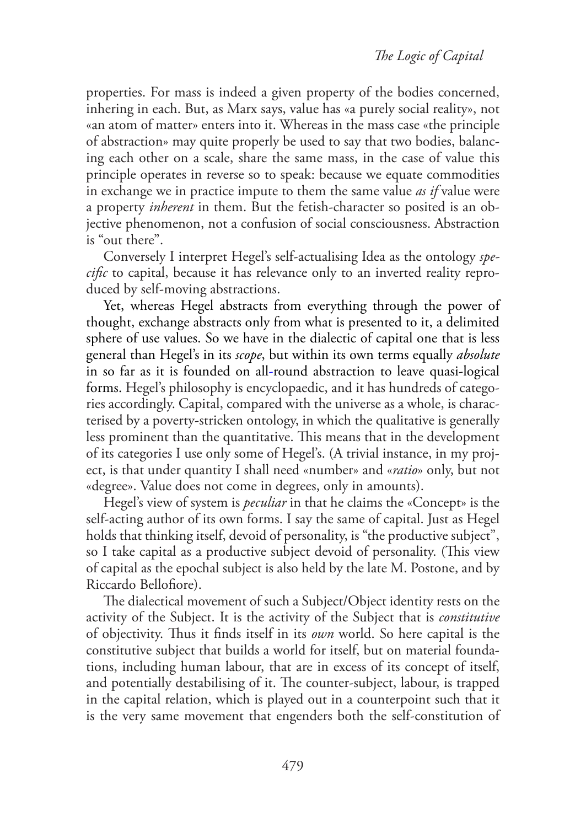properties. For mass is indeed a given property of the bodies concerned, inhering in each. But, as Marx says, value has «a purely social reality», not «an atom of matter» enters into it. Whereas in the mass case «the principle of abstraction» may quite properly be used to say that two bodies, balancing each other on a scale, share the same mass, in the case of value this principle operates in reverse so to speak: because we equate commodities in exchange we in practice impute to them the same value *as if* value were a property *inherent* in them. But the fetish-character so posited is an objective phenomenon, not a confusion of social consciousness. Abstraction is "out there".

Conversely I interpret Hegel's self-actualising Idea as the ontology *specific* to capital, because it has relevance only to an inverted reality reproduced by self-moving abstractions.

Yet, whereas Hegel abstracts from everything through the power of thought, exchange abstracts only from what is presented to it, a delimited sphere of use values. So we have in the dialectic of capital one that is less general than Hegel's in its *scope*, but within its own terms equally *absolute*  in so far as it is founded on all-round abstraction to leave quasi-logical forms. Hegel's philosophy is encyclopaedic, and it has hundreds of categories accordingly. Capital, compared with the universe as a whole, is characterised by a poverty-stricken ontology, in which the qualitative is generally less prominent than the quantitative. This means that in the development of its categories I use only some of Hegel's. (A trivial instance, in my project, is that under quantity I shall need «number» and «*ratio*» only, but not «degree». Value does not come in degrees, only in amounts).

Hegel's view of system is *peculiar* in that he claims the «Concept» is the self-acting author of its own forms. I say the same of capital. Just as Hegel holds that thinking itself, devoid of personality, is "the productive subject", so I take capital as a productive subject devoid of personality. (This view of capital as the epochal subject is also held by the late M. Postone, and by Riccardo Bellofiore).

The dialectical movement of such a Subject/Object identity rests on the activity of the Subject. It is the activity of the Subject that is *constitutive* of objectivity. Thus it finds itself in its *own* world. So here capital is the constitutive subject that builds a world for itself, but on material foundations, including human labour, that are in excess of its concept of itself, and potentially destabilising of it. The counter-subject, labour, is trapped in the capital relation, which is played out in a counterpoint such that it is the very same movement that engenders both the self-constitution of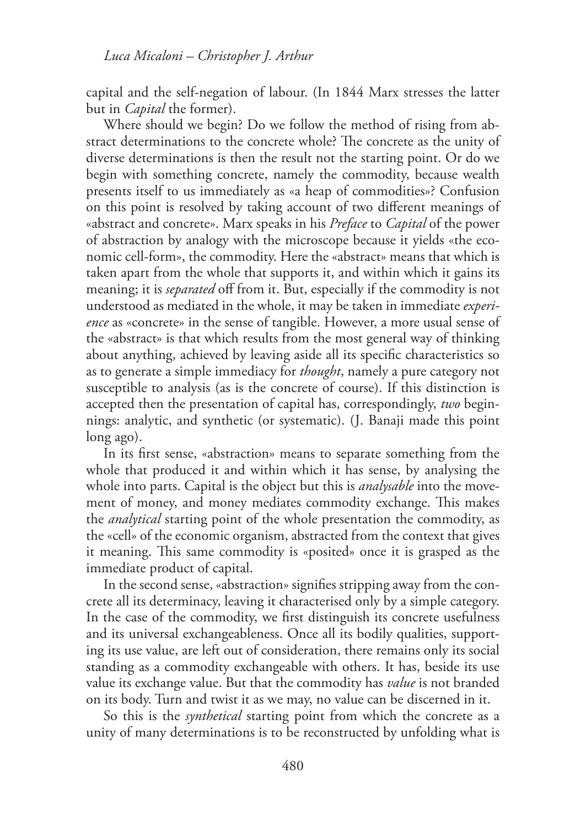capital and the self-negation of labour. (In 1844 Marx stresses the latter but in *Capital* the former).

Where should we begin? Do we follow the method of rising from abstract determinations to the concrete whole? The concrete as the unity of diverse determinations is then the result not the starting point. Or do we begin with something concrete, namely the commodity, because wealth presents itself to us immediately as «a heap of commodities»? Confusion on this point is resolved by taking account of two different meanings of «abstract and concrete». Marx speaks in his *Preface* to *Capital* of the power of abstraction by analogy with the microscope because it yields «the economic cell-form», the commodity. Here the «abstract» means that which is taken apart from the whole that supports it, and within which it gains its meaning; it is *separated* off from it. But, especially if the commodity is not understood as mediated in the whole, it may be taken in immediate *experience* as «concrete» in the sense of tangible. However, a more usual sense of the «abstract» is that which results from the most general way of thinking about anything, achieved by leaving aside all its specific characteristics so as to generate a simple immediacy for *thought*, namely a pure category not susceptible to analysis (as is the concrete of course). If this distinction is accepted then the presentation of capital has, correspondingly, *two* beginnings: analytic, and synthetic (or systematic). (J. Banaji made this point long ago).

In its first sense, «abstraction» means to separate something from the whole that produced it and within which it has sense, by analysing the whole into parts. Capital is the object but this is *analysable* into the movement of money, and money mediates commodity exchange. This makes the *analytical* starting point of the whole presentation the commodity, as the «cell» of the economic organism, abstracted from the context that gives it meaning. This same commodity is «posited» once it is grasped as the immediate product of capital.

In the second sense, «abstraction» signifies stripping away from the concrete all its determinacy, leaving it characterised only by a simple category. In the case of the commodity, we first distinguish its concrete usefulness and its universal exchangeableness. Once all its bodily qualities, supporting its use value, are left out of consideration, there remains only its social standing as a commodity exchangeable with others. It has, beside its use value its exchange value. But that the commodity has *value* is not branded on its body. Turn and twist it as we may, no value can be discerned in it.

So this is the *synthetical* starting point from which the concrete as a unity of many determinations is to be reconstructed by unfolding what is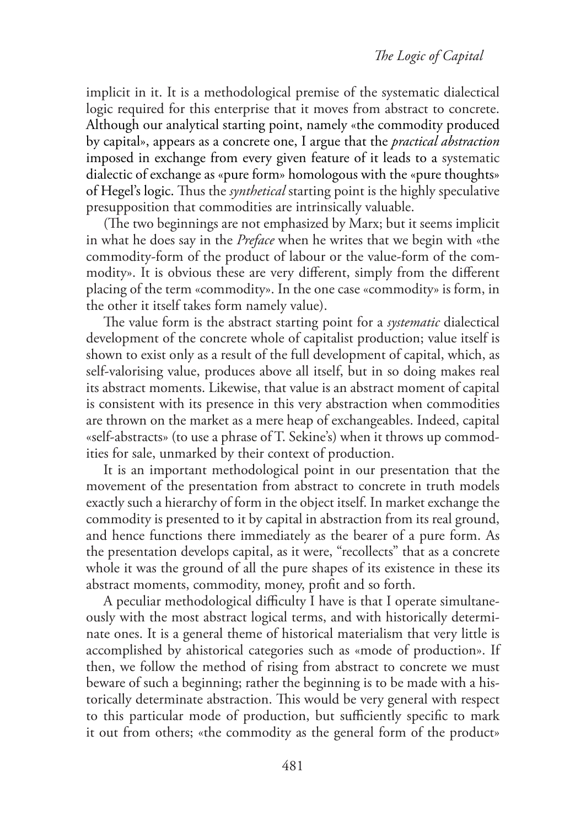implicit in it. It is a methodological premise of the systematic dialectical logic required for this enterprise that it moves from abstract to concrete. Although our analytical starting point, namely «the commodity produced by capital», appears as a concrete one, I argue that the *practical abstraction* imposed in exchange from every given feature of it leads to a systematic dialectic of exchange as «pure form» homologous with the «pure thoughts» of Hegel's logic. Thus the *synthetical* starting point is the highly speculative presupposition that commodities are intrinsically valuable.

(The two beginnings are not emphasized by Marx; but it seems implicit in what he does say in the *Preface* when he writes that we begin with «the commodity-form of the product of labour or the value-form of the commodity». It is obvious these are very different, simply from the different placing of the term «commodity». In the one case «commodity» is form, in the other it itself takes form namely value).

The value form is the abstract starting point for a *systematic* dialectical development of the concrete whole of capitalist production; value itself is shown to exist only as a result of the full development of capital, which, as self-valorising value, produces above all itself, but in so doing makes real its abstract moments. Likewise, that value is an abstract moment of capital is consistent with its presence in this very abstraction when commodities are thrown on the market as a mere heap of exchangeables. Indeed, capital «self-abstracts» (to use a phrase of T. Sekine's) when it throws up commodities for sale, unmarked by their context of production.

It is an important methodological point in our presentation that the movement of the presentation from abstract to concrete in truth models exactly such a hierarchy of form in the object itself. In market exchange the commodity is presented to it by capital in abstraction from its real ground, and hence functions there immediately as the bearer of a pure form. As the presentation develops capital, as it were, "recollects" that as a concrete whole it was the ground of all the pure shapes of its existence in these its abstract moments, commodity, money, profit and so forth.

A peculiar methodological difficulty I have is that I operate simultaneously with the most abstract logical terms, and with historically determinate ones. It is a general theme of historical materialism that very little is accomplished by ahistorical categories such as «mode of production». If then, we follow the method of rising from abstract to concrete we must beware of such a beginning; rather the beginning is to be made with a historically determinate abstraction. This would be very general with respect to this particular mode of production, but sufficiently specific to mark it out from others; «the commodity as the general form of the product»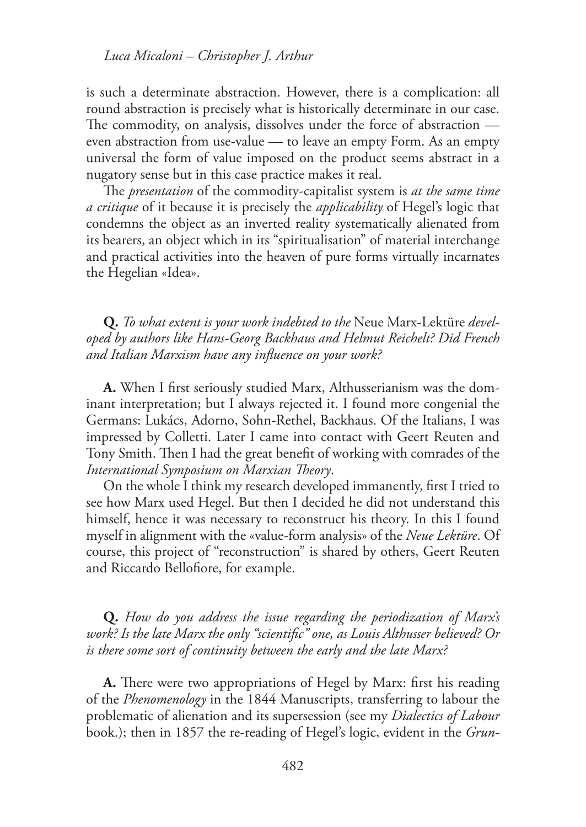#### *Luca Micaloni – Christopher J. Arthur*

is such a determinate abstraction. However, there is a complication: all round abstraction is precisely what is historically determinate in our case. The commodity, on analysis, dissolves under the force of abstraction even abstraction from use-value — to leave an empty Form. As an empty universal the form of value imposed on the product seems abstract in a nugatory sense but in this case practice makes it real.

The *presentation* of the commodity-capitalist system is *at the same time a critique* of it because it is precisely the *applicability* of Hegel's logic that condemns the object as an inverted reality systematically alienated from its bearers, an object which in its "spiritualisation" of material interchange and practical activities into the heaven of pure forms virtually incarnates the Hegelian «Idea».

**Q.** *To what extent is your work indebted to the* Neue Marx-Lektüre *developed by authors like Hans-Georg Backhaus and Helmut Reichelt? Did French and Italian Marxism have any influence on your work?*

**A.** When I first seriously studied Marx, Althusserianism was the dominant interpretation; but I always rejected it. I found more congenial the Germans: Lukács, Adorno, Sohn-Rethel, Backhaus. Of the Italians, I was impressed by Colletti. Later I came into contact with Geert Reuten and Tony Smith. Then I had the great benefit of working with comrades of the *International Symposium on Marxian Theory*.

On the whole I think my research developed immanently, first I tried to see how Marx used Hegel. But then I decided he did not understand this himself, hence it was necessary to reconstruct his theory. In this I found myself in alignment with the «value-form analysis» of the *Neue Lektüre*. Of course, this project of "reconstruction" is shared by others, Geert Reuten and Riccardo Bellofiore, for example.

**Q.** *How do you address the issue regarding the periodization of Marx's work? Is the late Marx the only "scientific" one, as Louis Althusser believed? Or is there some sort of continuity between the early and the late Marx?*

**A.** There were two appropriations of Hegel by Marx: first his reading of the *Phenomenology* in the 1844 Manuscripts, transferring to labour the problematic of alienation and its supersession (see my *Dialectics of Labour* book.); then in 1857 the re-reading of Hegel's logic, evident in the *Grun-*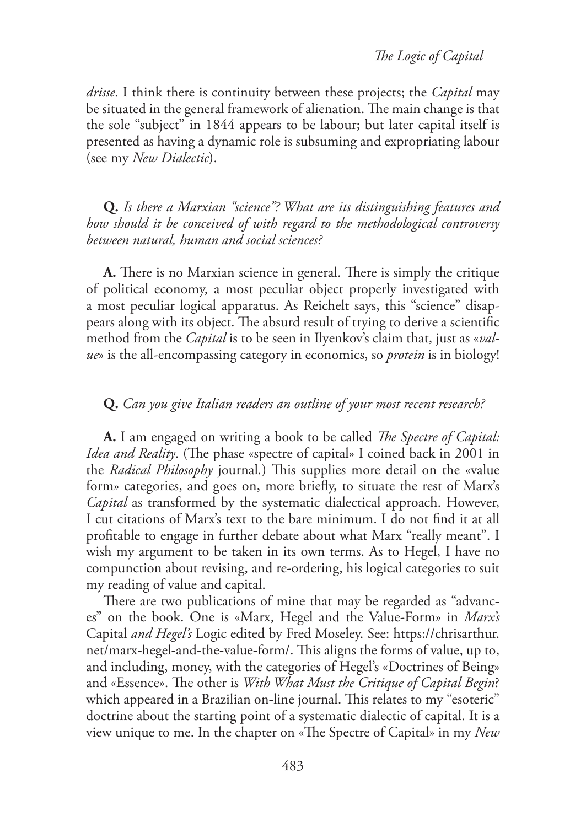*drisse*. I think there is continuity between these projects; the *Capital* may be situated in the general framework of alienation. The main change is that the sole "subject" in 1844 appears to be labour; but later capital itself is presented as having a dynamic role is subsuming and expropriating labour (see my *New Dialectic*).

**Q.** *Is there a Marxian "science"? What are its distinguishing features and how should it be conceived of with regard to the methodological controversy between natural, human and social sciences?*

**A.** There is no Marxian science in general. There is simply the critique of political economy, a most peculiar object properly investigated with a most peculiar logical apparatus. As Reichelt says, this "science" disappears along with its object. The absurd result of trying to derive a scientific method from the *Capital* is to be seen in Ilyenkov's claim that, just as «*value*» is the all-encompassing category in economics, so *protein* is in biology!

### **Q.** *Can you give Italian readers an outline of your most recent research?*

**A.** I am engaged on writing a book to be called *The Spectre of Capital: Idea and Reality*. (The phase «spectre of capital» I coined back in 2001 in the *Radical Philosophy* journal*.*) This supplies more detail on the «value form» categories, and goes on, more briefly, to situate the rest of Marx's *Capital* as transformed by the systematic dialectical approach. However, I cut citations of Marx's text to the bare minimum. I do not find it at all profitable to engage in further debate about what Marx "really meant". I wish my argument to be taken in its own terms. As to Hegel, I have no compunction about revising, and re-ordering, his logical categories to suit my reading of value and capital.

There are two publications of mine that may be regarded as "advances" on the book. One is «Marx, Hegel and the Value-Form» in *Marx's*  Capital *and Hegel's* Logic edited by Fred Moseley. See: https://chrisarthur. net/marx-hegel-and-the-value-form/. This aligns the forms of value, up to, and including, money, with the categories of Hegel's «Doctrines of Being» and «Essence». The other is *With What Must the Critique of Capital Begin*? which appeared in a Brazilian on-line journal. This relates to my "esoteric" doctrine about the starting point of a systematic dialectic of capital. It is a view unique to me. In the chapter on «The Spectre of Capital» in my *New*